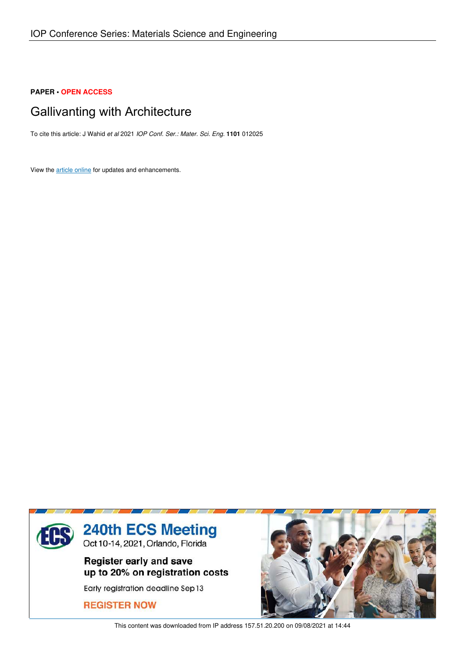# **PAPER • OPEN ACCESS**

# Gallivanting with Architecture

To cite this article: J Wahid *et al* 2021 *IOP Conf. Ser.: Mater. Sci. Eng.* **1101** 012025

View the article online for updates and enhancements.



This content was downloaded from IP address 157.51.20.200 on 09/08/2021 at 14:44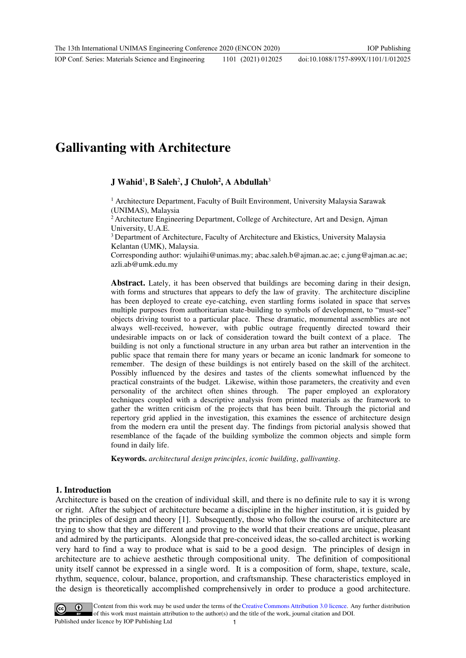# **Gallivanting with Architecture**

# **J Wahid**<sup>1</sup> **, B Saleh**<sup>2</sup> **, J Chuloh<sup>2</sup> , A Abdullah**<sup>3</sup>

<sup>1</sup> Architecture Department, Faculty of Built Environment, University Malaysia Sarawak (UNIMAS), Malaysia

<sup>2</sup> Architecture Engineering Department, College of Architecture, Art and Design, Ajman University, U.A.E.

<sup>3</sup> Department of Architecture, Faculty of Architecture and Ekistics, University Malaysia Kelantan (UMK), Malaysia.

Corresponding author: [wjulaihi@unimas.my;](mailto:wjulaihi@unimas.my) [abac.saleh.b@ajman.ac.ae;](mailto:abac.saleh.b@ajman.ac.ae) [c.jung@ajman.ac.ae;](mailto:c.jung@ajman.ac.ae) azli.ab@umk.edu.my

**Abstract.** Lately, it has been observed that buildings are becoming daring in their design, with forms and structures that appears to defy the law of gravity. The architecture discipline has been deployed to create eye-catching, even startling forms isolated in space that serves multiple purposes from authoritarian state-building to symbols of development, to "must-see" objects driving tourist to a particular place. These dramatic, monumental assemblies are not always well-received, however, with public outrage frequently directed toward their undesirable impacts on or lack of consideration toward the built context of a place. The building is not only a functional structure in any urban area but rather an intervention in the public space that remain there for many years or became an iconic landmark for someone to remember. The design of these buildings is not entirely based on the skill of the architect. Possibly influenced by the desires and tastes of the clients somewhat influenced by the practical constraints of the budget. Likewise, within those parameters, the creativity and even personality of the architect often shines through. The paper employed an exploratory techniques coupled with a descriptive analysis from printed materials as the framework to gather the written criticism of the projects that has been built. Through the pictorial and repertory grid applied in the investigation, this examines the essence of architecture design from the modern era until the present day. The findings from pictorial analysis showed that resemblance of the façade of the building symbolize the common objects and simple form found in daily life.

**Keywords.** *architectural design principles*, *iconic building*, *gallivanting*.

#### **1. Introduction**

Architecture is based on the creation of individual skill, and there is no definite rule to say it is wrong or right. After the subject of architecture became a discipline in the higher institution, it is guided by the principles of design and theory [1]. Subsequently, those who follow the course of architecture are trying to show that they are different and proving to the world that their creations are unique, pleasant and admired by the participants. Alongside that pre-conceived ideas, the so-called architect is working very hard to find a way to produce what is said to be a good design. The principles of design in architecture are to achieve aesthetic through compositional unity. The definition of compositional unity itself cannot be expressed in a single word. It is a composition of form, shape, texture, scale, rhythm, sequence, colour, balance, proportion, and craftsmanship. These characteristics employed in the design is theoretically accomplished comprehensively in order to produce a good architecture.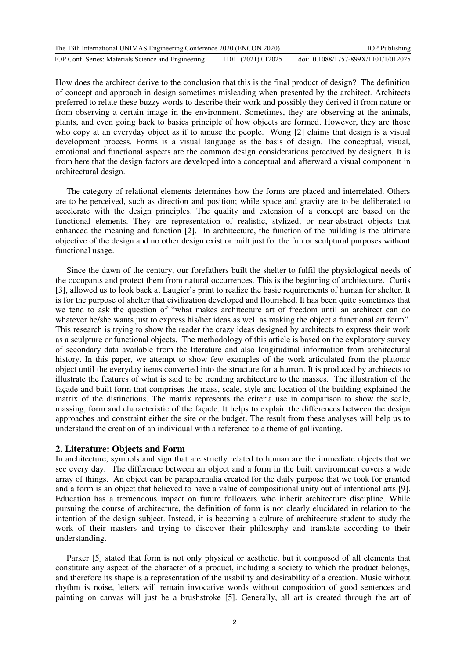| The 13th International UNIMAS Engineering Conference 2020 (ENCON 2020) |                    | <b>IOP</b> Publishing               |
|------------------------------------------------------------------------|--------------------|-------------------------------------|
| IOP Conf. Series: Materials Science and Engineering                    | 1101 (2021) 012025 | doi:10.1088/1757-899X/1101/1/012025 |

How does the architect derive to the conclusion that this is the final product of design? The definition of concept and approach in design sometimes misleading when presented by the architect. Architects preferred to relate these buzzy words to describe their work and possibly they derived it from nature or from observing a certain image in the environment. Sometimes, they are observing at the animals, plants, and even going back to basics principle of how objects are formed. However, they are those who copy at an everyday object as if to amuse the people. Wong [2] claims that design is a visual development process. Forms is a visual language as the basis of design. The conceptual, visual, emotional and functional aspects are the common design considerations perceived by designers. It is from here that the design factors are developed into a conceptual and afterward a visual component in architectural design.

The category of relational elements determines how the forms are placed and interrelated. Others are to be perceived, such as direction and position; while space and gravity are to be deliberated to accelerate with the design principles. The quality and extension of a concept are based on the functional elements. They are representation of realistic, stylized, or near-abstract objects that enhanced the meaning and function [2]. In architecture, the function of the building is the ultimate objective of the design and no other design exist or built just for the fun or sculptural purposes without functional usage.

Since the dawn of the century, our forefathers built the shelter to fulfil the physiological needs of the occupants and protect them from natural occurrences. This is the beginning of architecture. Curtis [3], allowed us to look back at Laugier's print to realize the basic requirements of human for shelter. It is for the purpose of shelter that civilization developed and flourished. It has been quite sometimes that we tend to ask the question of "what makes architecture art of freedom until an architect can do whatever he/she wants just to express his/her ideas as well as making the object a functional art form". This research is trying to show the reader the crazy ideas designed by architects to express their work as a sculpture or functional objects. The methodology of this article is based on the exploratory survey of secondary data available from the literature and also longitudinal information from architectural history. In this paper, we attempt to show few examples of the work articulated from the platonic object until the everyday items converted into the structure for a human. It is produced by architects to illustrate the features of what is said to be trending architecture to the masses. The illustration of the façade and built form that comprises the mass, scale, style and location of the building explained the matrix of the distinctions. The matrix represents the criteria use in comparison to show the scale, massing, form and characteristic of the façade. It helps to explain the differences between the design approaches and constraint either the site or the budget. The result from these analyses will help us to understand the creation of an individual with a reference to a theme of gallivanting.

#### **2. Literature: Objects and Form**

In architecture, symbols and sign that are strictly related to human are the immediate objects that we see every day. The difference between an object and a form in the built environment covers a wide array of things. An object can be paraphernalia created for the daily purpose that we took for granted and a form is an object that believed to have a value of compositional unity out of intentional arts [9]. Education has a tremendous impact on future followers who inherit architecture discipline. While pursuing the course of architecture, the definition of form is not clearly elucidated in relation to the intention of the design subject. Instead, it is becoming a culture of architecture student to study the work of their masters and trying to discover their philosophy and translate according to their understanding.

Parker [5] stated that form is not only physical or aesthetic, but it composed of all elements that constitute any aspect of the character of a product, including a society to which the product belongs, and therefore its shape is a representation of the usability and desirability of a creation. Music without rhythm is noise, letters will remain invocative words without composition of good sentences and painting on canvas will just be a brushstroke [5]. Generally, all art is created through the art of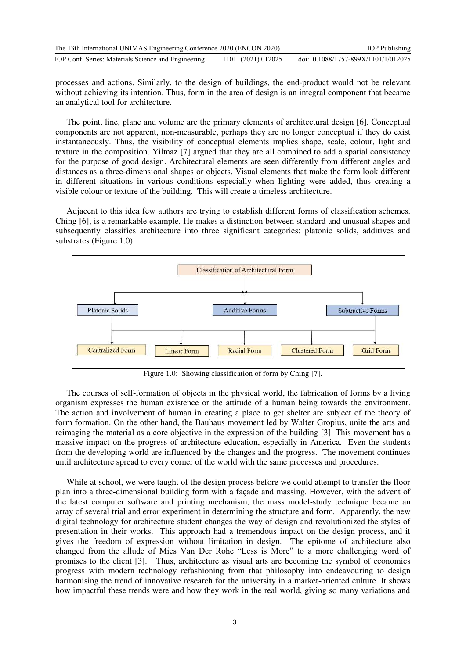| The 13th International UNIMAS Engineering Conference 2020 (ENCON 2020) |                    | <b>IOP</b> Publishing               |
|------------------------------------------------------------------------|--------------------|-------------------------------------|
| IOP Conf. Series: Materials Science and Engineering                    | 1101 (2021) 012025 | doi:10.1088/1757-899X/1101/1/012025 |

processes and actions. Similarly, to the design of buildings, the end-product would not be relevant without achieving its intention. Thus, form in the area of design is an integral component that became an analytical tool for architecture.

The point, line, plane and volume are the primary elements of architectural design [6]. Conceptual components are not apparent, non-measurable, perhaps they are no longer conceptual if they do exist instantaneously. Thus, the visibility of conceptual elements implies shape, scale, colour, light and texture in the composition. Yilmaz [7] argued that they are all combined to add a spatial consistency for the purpose of good design. Architectural elements are seen differently from different angles and distances as a three-dimensional shapes or objects. Visual elements that make the form look different in different situations in various conditions especially when lighting were added, thus creating a visible colour or texture of the building. This will create a timeless architecture.

Adjacent to this idea few authors are trying to establish different forms of classification schemes. Ching [6], is a remarkable example. He makes a distinction between standard and unusual shapes and subsequently classifies architecture into three significant categories: platonic solids, additives and substrates (Figure 1.0).



Figure 1.0: Showing classification of form by Ching [7].

The courses of self-formation of objects in the physical world, the fabrication of forms by a living organism expresses the human existence or the attitude of a human being towards the environment. The action and involvement of human in creating a place to get shelter are subject of the theory of form formation. On the other hand, the Bauhaus movement led by Walter Gropius, unite the arts and reimaging the material as a core objective in the expression of the building [3]. This movement has a massive impact on the progress of architecture education, especially in America. Even the students from the developing world are influenced by the changes and the progress. The movement continues until architecture spread to every corner of the world with the same processes and procedures.

While at school, we were taught of the design process before we could attempt to transfer the floor plan into a three-dimensional building form with a façade and massing. However, with the advent of the latest computer software and printing mechanism, the mass model-study technique became an array of several trial and error experiment in determining the structure and form. Apparently, the new digital technology for architecture student changes the way of design and revolutionized the styles of presentation in their works. This approach had a tremendous impact on the design process, and it gives the freedom of expression without limitation in design. The epitome of architecture also changed from the allude of Mies Van Der Rohe "Less is More" to a more challenging word of promises to the client [3]. Thus, architecture as visual arts are becoming the symbol of economics progress with modern technology refashioning from that philosophy into endeavouring to design harmonising the trend of innovative research for the university in a market-oriented culture. It shows how impactful these trends were and how they work in the real world, giving so many variations and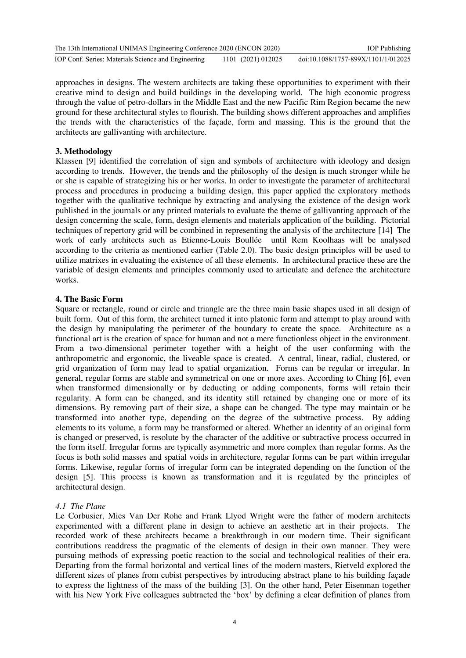| The 13th International UNIMAS Engineering Conference 2020 (ENCON 2020) |                    | <b>IOP</b> Publishing               |
|------------------------------------------------------------------------|--------------------|-------------------------------------|
| IOP Conf. Series: Materials Science and Engineering                    | 1101 (2021) 012025 | doi:10.1088/1757-899X/1101/1/012025 |

approaches in designs. The western architects are taking these opportunities to experiment with their creative mind to design and build buildings in the developing world. The high economic progress through the value of petro-dollars in the Middle East and the new Pacific Rim Region became the new ground for these architectural styles to flourish. The building shows different approaches and amplifies the trends with the characteristics of the façade, form and massing. This is the ground that the architects are gallivanting with architecture.

### **3. Methodology**

Klassen [9] identified the correlation of sign and symbols of architecture with ideology and design according to trends. However, the trends and the philosophy of the design is much stronger while he or she is capable of strategizing his or her works. In order to investigate the parameter of architectural process and procedures in producing a building design, this paper applied the exploratory methods together with the qualitative technique by extracting and analysing the existence of the design work published in the journals or any printed materials to evaluate the theme of gallivanting approach of the design concerning the scale, form, design elements and materials application of the building. Pictorial techniques of repertory grid will be combined in representing the analysis of the architecture [14] The work of early architects such as Etienne-Louis Boullée until Rem Koolhaas will be analysed according to the criteria as mentioned earlier (Table 2.0). The basic design principles will be used to utilize matrixes in evaluating the existence of all these elements. In architectural practice these are the variable of design elements and principles commonly used to articulate and defence the architecture works.

#### **4. The Basic Form**

Square or rectangle, round or circle and triangle are the three main basic shapes used in all design of built form. Out of this form, the architect turned it into platonic form and attempt to play around with the design by manipulating the perimeter of the boundary to create the space. Architecture as a functional art is the creation of space for human and not a mere functionless object in the environment. From a two-dimensional perimeter together with a height of the user conforming with the anthropometric and ergonomic, the liveable space is created. A central, linear, radial, clustered, or grid organization of form may lead to spatial organization. Forms can be regular or irregular. In general, regular forms are stable and symmetrical on one or more axes. According to Ching [6], even when transformed dimensionally or by deducting or adding components, forms will retain their regularity. A form can be changed, and its identity still retained by changing one or more of its dimensions. By removing part of their size, a shape can be changed. The type may maintain or be transformed into another type, depending on the degree of the subtractive process. By adding elements to its volume, a form may be transformed or altered. Whether an identity of an original form is changed or preserved, is resolute by the character of the additive or subtractive process occurred in the form itself. Irregular forms are typically asymmetric and more complex than regular forms. As the focus is both solid masses and spatial voids in architecture, regular forms can be part within irregular forms. Likewise, regular forms of irregular form can be integrated depending on the function of the design [5]. This process is known as transformation and it is regulated by the principles of architectural design.

#### *4.1 The Plane*

Le Corbusier, Mies Van Der Rohe and Frank Llyod Wright were the father of modern architects experimented with a different plane in design to achieve an aesthetic art in their projects. The recorded work of these architects became a breakthrough in our modern time. Their significant contributions readdress the pragmatic of the elements of design in their own manner. They were pursuing methods of expressing poetic reaction to the social and technological realities of their era. Departing from the formal horizontal and vertical lines of the modern masters, Rietveld explored the different sizes of planes from cubist perspectives by introducing abstract plane to his building façade to express the lightness of the mass of the building [3]. On the other hand, Peter Eisenman together with his New York Five colleagues subtracted the 'box' by defining a clear definition of planes from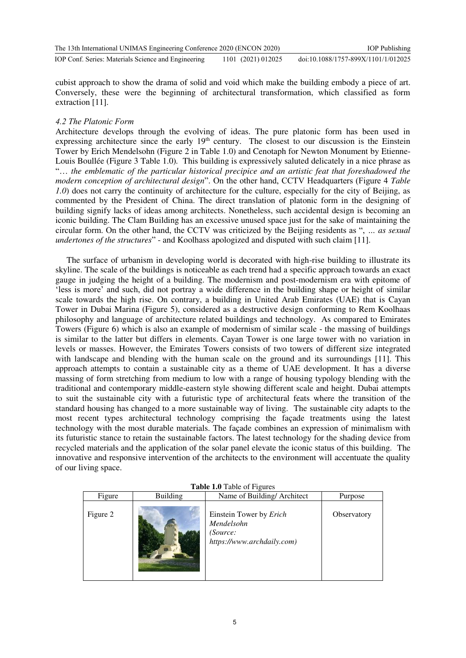| The 13th International UNIMAS Engineering Conference 2020 (ENCON 2020) |                    | <b>IOP</b> Publishing               |
|------------------------------------------------------------------------|--------------------|-------------------------------------|
| IOP Conf. Series: Materials Science and Engineering                    | 1101 (2021) 012025 | doi:10.1088/1757-899X/1101/1/012025 |

cubist approach to show the drama of solid and void which make the building embody a piece of art. Conversely, these were the beginning of architectural transformation, which classified as form extraction [11].

#### *4.2 The Platonic Form*

Architecture develops through the evolving of ideas. The pure platonic form has been used in expressing architecture since the early  $19<sup>th</sup>$  century. The closest to our discussion is the Einstein Tower by Erich Mendelsohn (Figure 2 in Table 1.0) and Cenotaph for Newton Monument by Etienne-Louis Boullée (Figure 3 Table 1.0)*.* This building is expressively saluted delicately in a nice phrase as "… *the emblematic of the particular historical precipice and an artistic feat that foreshadowed the modern conception of architectural design*". On the other hand, CCTV Headquarters (Figure 4 *Table 1.0*) does not carry the continuity of architecture for the culture, especially for the city of Beijing, as commented by the President of China. The direct translation of platonic form in the designing of building signify lacks of ideas among architects. Nonetheless, such accidental design is becoming an iconic building. The Clam Building has an excessive unused space just for the sake of maintaining the circular form. On the other hand, the CCTV was criticized by the Beijing residents as ", *… as sexual undertones of the structures*" - and Koolhass apologized and disputed with such claim [11].

The surface of urbanism in developing world is decorated with high-rise building to illustrate its skyline. The scale of the buildings is noticeable as each trend had a specific approach towards an exact gauge in judging the height of a building. The modernism and post-modernism era with epitome of 'less is more' and such, did not portray a wide difference in the building shape or height of similar scale towards the high rise. On contrary, a building in United Arab Emirates (UAE) that is Cayan Tower in Dubai Marina (Figure 5), considered as a destructive design conforming to Rem Koolhaas philosophy and language of architecture related buildings and technology. As compared to Emirates Towers (Figure 6) which is also an example of modernism of similar scale - the massing of buildings is similar to the latter but differs in elements. Cayan Tower is one large tower with no variation in levels or masses. However, the Emirates Towers consists of two towers of different size integrated with landscape and blending with the human scale on the ground and its surroundings [11]. This approach attempts to contain a sustainable city as a theme of UAE development. It has a diverse massing of form stretching from medium to low with a range of housing typology blending with the traditional and contemporary middle-eastern style showing different scale and height. Dubai attempts to suit the sustainable city with a futuristic type of architectural feats where the transition of the standard housing has changed to a more sustainable way of living. The sustainable city adapts to the most recent types architectural technology comprising the façade treatments using the latest technology with the most durable materials. The façade combines an expression of minimalism with its futuristic stance to retain the sustainable factors. The latest technology for the shading device from recycled materials and the application of the solar panel elevate the iconic status of this building. The innovative and responsive intervention of the architects to the environment will accentuate the quality of our living space.

| <b>LADIC L.V</b> LAUR OF FIGURES |                 |                                                                                 |             |
|----------------------------------|-----------------|---------------------------------------------------------------------------------|-------------|
| Figure                           | <b>Building</b> | Name of Building/Architect                                                      | Purpose     |
| Figure 2                         |                 | Einstein Tower by Erich<br>Mendelsohn<br>(Source:<br>https://www.archdaily.com) | Observatory |

**Table 1.0** Table of Figures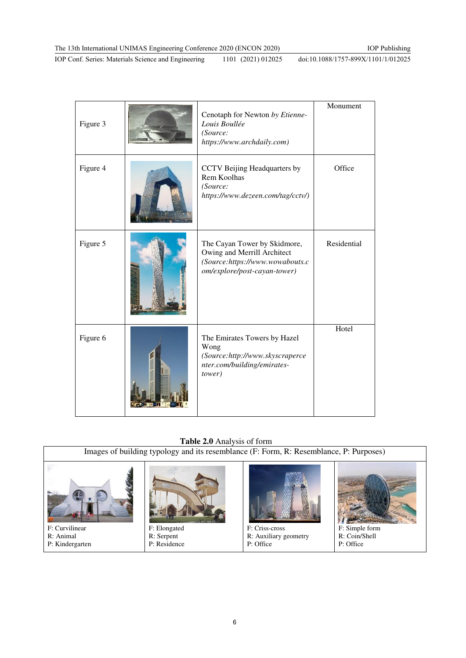IOP Conf. Series: Materials Science and Engineering 1101 (2021) 012025

doi:10.1088/1757-899X/1101/1/012025

| Figure 3 | Cenotaph for Newton by Etienne-<br>Louis Boullée<br>(Source:<br>https://www.archdaily.com)                                     | Monument    |
|----------|--------------------------------------------------------------------------------------------------------------------------------|-------------|
| Figure 4 | CCTV Beijing Headquarters by<br>Rem Koolhas<br>(Source:<br>https://www.dezeen.com/tag/cctv/)                                   | Office      |
| Figure 5 | The Cayan Tower by Skidmore,<br>Owing and Merrill Architect<br>(Source:https://www.wowabouts.c<br>om/explore/post-cayan-tower) | Residential |
| Figure 6 | The Emirates Towers by Hazel<br>Wong<br>(Source:http://www.skyscraperce<br>nter.com/building/emirates-<br>tower)               | Hotel       |

## **Table 2.0** Analysis of form

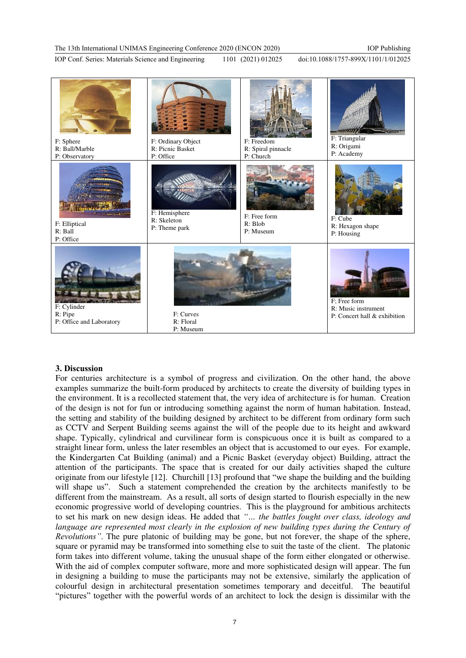doi:10.1088/1757-899X/1101/1/012025



#### **3. Discussion**

For centuries architecture is a symbol of progress and civilization. On the other hand, the above examples summarize the built-form produced by architects to create the diversity of building types in the environment. It is a recollected statement that, the very idea of architecture is for human. Creation of the design is not for fun or introducing something against the norm of human habitation. Instead, the setting and stability of the building designed by architect to be different from ordinary form such as CCTV and Serpent Building seems against the will of the people due to its height and awkward shape. Typically, cylindrical and curvilinear form is conspicuous once it is built as compared to a straight linear form, unless the later resembles an object that is accustomed to our eyes. For example, the Kindergarten Cat Building (animal) and a Picnic Basket (everyday object) Building, attract the attention of the participants. The space that is created for our daily activities shaped the culture originate from our lifestyle [12]. Churchill [13] profound that "we shape the building and the building will shape us". Such a statement comprehended the creation by the architects manifestly to be different from the mainstream. As a result, all sorts of design started to flourish especially in the new economic progressive world of developing countries. This is the playground for ambitious architects to set his mark on new design ideas. He added that *"… the battles fought over class, ideology and language are represented most clearly in the explosion of new building types during the Century of Revolutions"*. The pure platonic of building may be gone, but not forever, the shape of the sphere, square or pyramid may be transformed into something else to suit the taste of the client. The platonic form takes into different volume, taking the unusual shape of the form either elongated or otherwise. With the aid of complex computer software, more and more sophisticated design will appear. The fun in designing a building to muse the participants may not be extensive, similarly the application of colourful design in architectural presentation sometimes temporary and deceitful. The beautiful "pictures" together with the powerful words of an architect to lock the design is dissimilar with the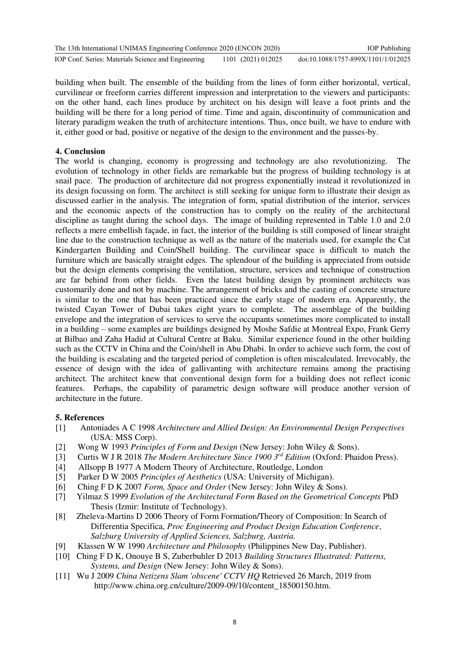| The 13th International UNIMAS Engineering Conference 2020 (ENCON 2020) |                    | <b>IOP</b> Publishing               |
|------------------------------------------------------------------------|--------------------|-------------------------------------|
| IOP Conf. Series: Materials Science and Engineering                    | 1101 (2021) 012025 | doi:10.1088/1757-899X/1101/1/012025 |

building when built. The ensemble of the building from the lines of form either horizontal, vertical, curvilinear or freeform carries different impression and interpretation to the viewers and participants: on the other hand, each lines produce by architect on his design will leave a foot prints and the building will be there for a long period of time. Time and again, discontinuity of communication and literary paradigm weaken the truth of architecture intentions. Thus, once built, we have to endure with it, either good or bad, positive or negative of the design to the environment and the passes-by.

## **4. Conclusion**

The world is changing, economy is progressing and technology are also revolutionizing. The evolution of technology in other fields are remarkable but the progress of building technology is at snail pace. The production of architecture did not progress exponentially instead it revolutionized in its design focussing on form. The architect is still seeking for unique form to illustrate their design as discussed earlier in the analysis. The integration of form, spatial distribution of the interior, services and the economic aspects of the construction has to comply on the reality of the architectural discipline as taught during the school days. The image of building represented in Table 1.0 and 2.0 reflects a mere embellish façade, in fact, the interior of the building is still composed of linear straight line due to the construction technique as well as the nature of the materials used, for example the Cat Kindergarten Building and Coin/Shell building. The curvilinear space is difficult to match the furniture which are basically straight edges. The splendour of the building is appreciated from outside but the design elements comprising the ventilation, structure, services and technique of construction are far behind from other fields. Even the latest building design by prominent architects was customarily done and not by machine. The arrangement of bricks and the casting of concrete structure is similar to the one that has been practiced since the early stage of modern era. Apparently, the twisted Cayan Tower of Dubai takes eight years to complete. The assemblage of the building envelope and the integration of services to serve the occupants sometimes more complicated to install in a building – some examples are buildings designed by Moshe Safdie at Montreal Expo, Frank Gerry at Bilbao and Zaha Hadid at Cultural Centre at Baku. Similar experience found in the other building such as the CCTV in China and the Coin/shell in Abu Dhabi. In order to achieve such form, the cost of the building is escalating and the targeted period of completion is often miscalculated. Irrevocably, the essence of design with the idea of gallivanting with architecture remains among the practising architect. The architect knew that conventional design form for a building does not reflect iconic features. Perhaps, the capability of parametric design software will produce another version of architecture in the future.

#### **5. References**

- [1] Antoniades A C 1998 *Architecture and Allied Design: An Environmental Design Perspectives* (USA: MSS Corp).
- [2] Wong W 1993 *Principles of Form and Design* (New Jersey: John Wiley & Sons).
- [3] Curtis W J R 2018 *The Modern Architecture Since 1900 3 rd Edition* (Oxford: Phaidon Press).
- [4] Allsopp B 1977 A Modern Theory of Architecture, Routledge, London
- [5] Parker D W 2005 *Principles of Aesthetics* (USA: University of Michigan).
- [6] Ching F D K 2007 *Form, Space and Order* (New Jersey: John Wiley & Sons).
- [7] Yilmaz S 1999 *Evolution of the Architectural Form Based on the Geometrical Concepts* PhD Thesis (Izmir: Institute of Technology).
- [8] Zheleva-Martins D 2006 Theory of Form Formation/Theory of Composition: In Search of Differentia Specifica, *Proc Engineering and Product Design Education Conference*, *Salzburg University of Applied Sciences, Salzburg, Austria.*
- [9] Klassen W W 1990 *Architecture and Philosophy* (Philippines New Day, Publisher).
- [10] Ching F D K, Onouye B S, Zuberbuhler D 2013 *Building Structures Illustrated: Patterns, Systems, and Design* (New Jersey: John Wiley & Sons).
- [11] Wu J 2009 *China Netizens Slam 'obscene' CCTV HQ* Retrieved 26 March, 2019 from http://www.china.org.cn/culture/2009-09/10/content\_18500150.htm.